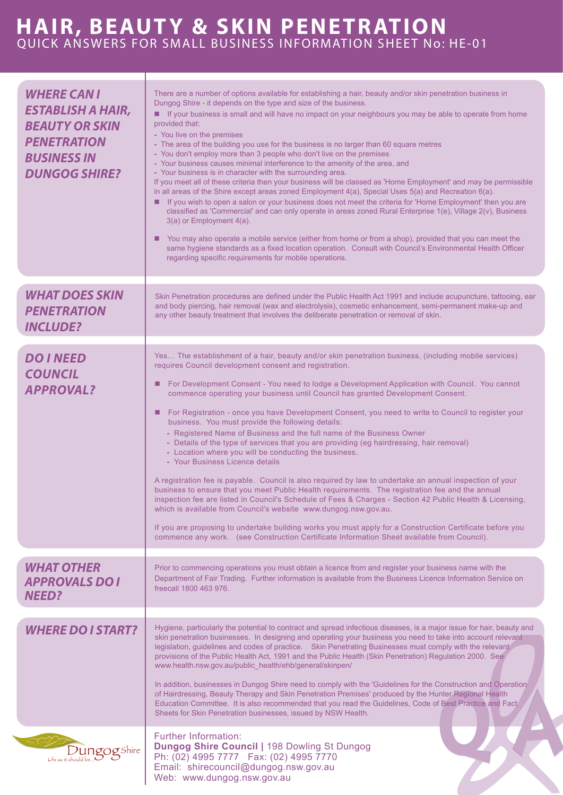## **HAIR, BEAUTY & SKIN PENETRATION** QUICK ANSWERS FOR SMALL BUSINESS INFORMATION SHEET No: HE-01

| <b>WHERE CAN I</b><br><b>ESTABLISH A HAIR,</b><br><b>BEAUTY OR SKIN</b><br><b>PENETRATION</b><br><b>BUSINESS IN</b><br><b>DUNGOG SHIRE?</b> | There are a number of options available for establishing a hair, beauty and/or skin penetration business in<br>Dungog Shire - it depends on the type and size of the business.<br>If your business is small and will have no impact on your neighbours you may be able to operate from home<br>provided that:<br>- You live on the premises<br>- The area of the building you use for the business is no larger than 60 square metres<br>- You don't employ more than 3 people who don't live on the premises<br>- Your business causes minimal interference to the amenity of the area, and<br>- Your business is in character with the surrounding area.<br>If you meet all of these criteria then your business will be classed as 'Home Employment' and may be permissible<br>in all areas of the Shire except areas zoned Employment 4(a), Special Uses 5(a) and Recreation 6(a).<br>If you wish to open a salon or your business does not meet the criteria for 'Home Employment' then you are<br>classified as 'Commercial' and can only operate in areas zoned Rural Enterprise 1(e), Village 2(v), Business<br>3(a) or Employment 4(a).<br>You may also operate a mobile service (either from home or from a shop), provided that you can meet the<br>same hygiene standards as a fixed location operation. Consult with Council's Environmental Health Officer<br>regarding specific requirements for mobile operations. |
|---------------------------------------------------------------------------------------------------------------------------------------------|------------------------------------------------------------------------------------------------------------------------------------------------------------------------------------------------------------------------------------------------------------------------------------------------------------------------------------------------------------------------------------------------------------------------------------------------------------------------------------------------------------------------------------------------------------------------------------------------------------------------------------------------------------------------------------------------------------------------------------------------------------------------------------------------------------------------------------------------------------------------------------------------------------------------------------------------------------------------------------------------------------------------------------------------------------------------------------------------------------------------------------------------------------------------------------------------------------------------------------------------------------------------------------------------------------------------------------------------------------------------------------------------------------------------------------|
| <b>WHAT DOES SKIN</b><br><b>PENETRATION</b><br><b>INCLUDE?</b>                                                                              | Skin Penetration procedures are defined under the Public Health Act 1991 and include acupuncture, tattooing, ear<br>and body piercing, hair removal (wax and electrolysis), cosmetic enhancement, semi-permanent make-up and<br>any other beauty treatment that involves the deliberate penetration or removal of skin.                                                                                                                                                                                                                                                                                                                                                                                                                                                                                                                                                                                                                                                                                                                                                                                                                                                                                                                                                                                                                                                                                                            |
| <b>DO INEED</b><br><b>COUNCIL</b><br><b>APPROVAL?</b>                                                                                       | Yes The establishment of a hair, beauty and/or skin penetration business, (including mobile services)<br>requires Council development consent and registration.<br>For Development Consent - You need to lodge a Development Application with Council. You cannot<br>ш<br>commence operating your business until Council has granted Development Consent.<br>■ For Registration - once you have Development Consent, you need to write to Council to register your<br>business. You must provide the following details:<br>- Registered Name of Business and the full name of the Business Owner<br>- Details of the type of services that you are providing (eg hairdressing, hair removal)<br>- Location where you will be conducting the business.<br>- Your Business Licence details<br>A registration fee is payable. Council is also required by law to undertake an annual inspection of your<br>business to ensure that you meet Public Health requirements. The registration fee and the annual<br>inspection fee are listed in Council's Schedule of Fees & Charges - Section 42 Public Health & Licensing,<br>which is available from Council's website www.dungog.nsw.gov.au.<br>If you are proposing to undertake building works you must apply for a Construction Certificate before you<br>commence any work. (see Construction Certificate Information Sheet available from Council).                              |
| <b>WHAT OTHER</b><br><b>APPROVALS DO I</b><br><b>NEED?</b>                                                                                  | Prior to commencing operations you must obtain a licence from and register your business name with the<br>Department of Fair Trading. Further information is available from the Business Licence Information Service on<br>freecall 1800 463 976.                                                                                                                                                                                                                                                                                                                                                                                                                                                                                                                                                                                                                                                                                                                                                                                                                                                                                                                                                                                                                                                                                                                                                                                  |
| <b>WHERE DO I START?</b>                                                                                                                    | Hygiene, particularly the potential to contract and spread infectious diseases, is a major issue for hair, beauty and<br>skin penetration businesses. In designing and operating your business you need to take into account relevant<br>legislation, guidelines and codes of practice. Skin Penetrating Businesses must comply with the relevant<br>provisions of the Public Health Act, 1991 and the Public Health (Skin Penetration) Regulation 2000. See<br>www.health.nsw.gov.au/public_health/ehb/general/skinpen/<br>In addition, businesses in Dungog Shire need to comply with the 'Guidelines for the Construction and Operation'<br>of Hairdressing, Beauty Therapy and Skin Penetration Premises' produced by the Hunter Regional Health<br>Education Committee. It is also recommended that you read the Guidelines, Code of Best Practice and Fact<br>Sheets for Skin Penetration businesses, issued by NSW Health.                                                                                                                                                                                                                                                                                                                                                                                                                                                                                                  |
| $\sum_{\text{Life as it should be}}\sum_{\text{B}}\sum_{\text{B}}\sum_{\text{B}}$                                                           | <b>Further Information:</b><br><b>Dungog Shire Council   198 Dowling St Dungog</b><br>Ph: (02) 4995 7777  Fax: (02) 4995 7770<br>Email: shirecouncil@dungog.nsw.gov.au<br>Web: www.dungog.nsw.gov.au                                                                                                                                                                                                                                                                                                                                                                                                                                                                                                                                                                                                                                                                                                                                                                                                                                                                                                                                                                                                                                                                                                                                                                                                                               |
|                                                                                                                                             |                                                                                                                                                                                                                                                                                                                                                                                                                                                                                                                                                                                                                                                                                                                                                                                                                                                                                                                                                                                                                                                                                                                                                                                                                                                                                                                                                                                                                                    |